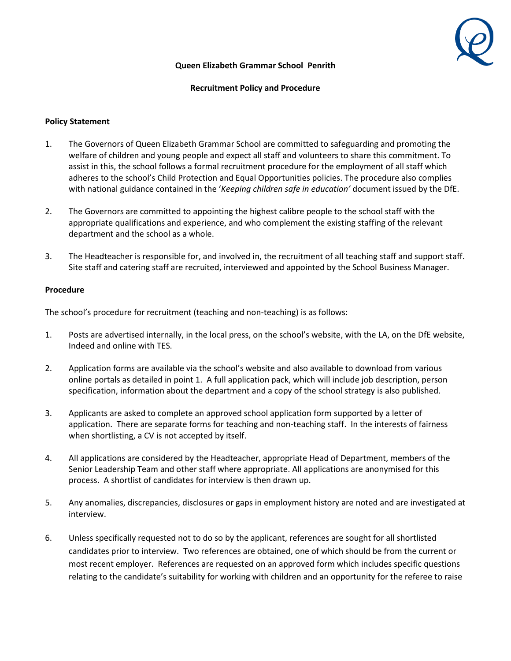## **Queen Elizabeth Grammar School Penrith**

## **Recruitment Policy and Procedure**

## **Policy Statement**

- 1. The Governors of Queen Elizabeth Grammar School are committed to safeguarding and promoting the welfare of children and young people and expect all staff and volunteers to share this commitment. To assist in this, the school follows a formal recruitment procedure for the employment of all staff which adheres to the school's Child Protection and Equal Opportunities policies. The procedure also complies with national guidance contained in the '*Keeping children safe in education'* document issued by the DfE.
- 2. The Governors are committed to appointing the highest calibre people to the school staff with the appropriate qualifications and experience, and who complement the existing staffing of the relevant department and the school as a whole.
- 3. The Headteacher is responsible for, and involved in, the recruitment of all teaching staff and support staff. Site staff and catering staff are recruited, interviewed and appointed by the School Business Manager.

## **Procedure**

The school's procedure for recruitment (teaching and non-teaching) is as follows:

- 1. Posts are advertised internally, in the local press, on the school's website, with the LA, on the DfE website, Indeed and online with TES.
- 2. Application forms are available via the school's website and also available to download from various online portals as detailed in point 1. A full application pack, which will include job description, person specification, information about the department and a copy of the school strategy is also published.
- 3. Applicants are asked to complete an approved school application form supported by a letter of application. There are separate forms for teaching and non-teaching staff. In the interests of fairness when shortlisting, a CV is not accepted by itself.
- 4. All applications are considered by the Headteacher, appropriate Head of Department, members of the Senior Leadership Team and other staff where appropriate. All applications are anonymised for this process. A shortlist of candidates for interview is then drawn up.
- 5. Any anomalies, discrepancies, disclosures or gaps in employment history are noted and are investigated at interview.
- 6. Unless specifically requested not to do so by the applicant, references are sought for all shortlisted candidates prior to interview. Two references are obtained, one of which should be from the current or most recent employer. References are requested on an approved form which includes specific questions relating to the candidate's suitability for working with children and an opportunity for the referee to raise